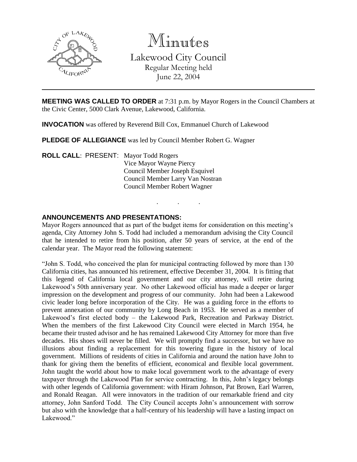

Minutes Lakewood City Council Regular Meeting held June 22, 2004

**MEETING WAS CALLED TO ORDER** at 7:31 p.m. by Mayor Rogers in the Council Chambers at the Civic Center, 5000 Clark Avenue, Lakewood, California.

**INVOCATION** was offered by Reverend Bill Cox, Emmanuel Church of Lakewood

**PLEDGE OF ALLEGIANCE** was led by Council Member Robert G. Wagner

**ROLL CALL**: PRESENT: Mayor Todd Rogers Vice Mayor Wayne Piercy Council Member Joseph Esquivel Council Member Larry Van Nostran Council Member Robert Wagner

# **ANNOUNCEMENTS AND PRESENTATIONS:**

Mayor Rogers announced that as part of the budget items for consideration on this meeting's agenda, City Attorney John S. Todd had included a memorandum advising the City Council that he intended to retire from his position, after 50 years of service, at the end of the calendar year. The Mayor read the following statement:

. . .

"John S. Todd, who conceived the plan for municipal contracting followed by more than 130 California cities, has announced his retirement, effective December 31, 2004. It is fitting that this legend of California local government and our city attorney, will retire during Lakewood's 50th anniversary year. No other Lakewood official has made a deeper or larger impression on the development and progress of our community. John had been a Lakewood civic leader long before incorporation of the City. He was a guiding force in the efforts to prevent annexation of our community by Long Beach in 1953. He served as a member of Lakewood's first elected body – the Lakewood Park, Recreation and Parkway District. When the members of the first Lakewood City Council were elected in March 1954, he became their trusted advisor and he has remained Lakewood City Attorney for more than five decades. His shoes will never be filled. We will promptly find a successor, but we have no illusions about finding a replacement for this towering figure in the history of local government. Millions of residents of cities in California and around the nation have John to thank for giving them the benefits of efficient, economical and flexible local government. John taught the world about how to make local government work to the advantage of every taxpayer through the Lakewood Plan for service contracting. In this, John's legacy belongs with other legends of California government: with Hiram Johnson, Pat Brown, Earl Warren, and Ronald Reagan. All were innovators in the tradition of our remarkable friend and city attorney, John Sanford Todd. The City Council accepts John's announcement with sorrow but also with the knowledge that a half-century of his leadership will have a lasting impact on Lakewood<sup>"</sup>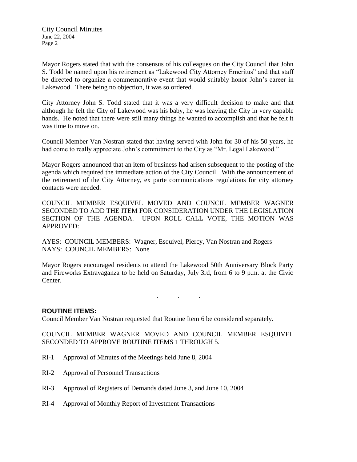Mayor Rogers stated that with the consensus of his colleagues on the City Council that John S. Todd be named upon his retirement as "Lakewood City Attorney Emeritus" and that staff be directed to organize a commemorative event that would suitably honor John's career in Lakewood. There being no objection, it was so ordered.

City Attorney John S. Todd stated that it was a very difficult decision to make and that although he felt the City of Lakewood was his baby, he was leaving the City in very capable hands. He noted that there were still many things he wanted to accomplish and that he felt it was time to move on.

Council Member Van Nostran stated that having served with John for 30 of his 50 years, he had come to really appreciate John's commitment to the City as "Mr. Legal Lakewood."

Mayor Rogers announced that an item of business had arisen subsequent to the posting of the agenda which required the immediate action of the City Council. With the announcement of the retirement of the City Attorney, ex parte communications regulations for city attorney contacts were needed.

COUNCIL MEMBER ESQUIVEL MOVED AND COUNCIL MEMBER WAGNER SECONDED TO ADD THE ITEM FOR CONSIDERATION UNDER THE LEGISLATION SECTION OF THE AGENDA. UPON ROLL CALL VOTE, THE MOTION WAS APPROVED:

AYES: COUNCIL MEMBERS: Wagner, Esquivel, Piercy, Van Nostran and Rogers NAYS: COUNCIL MEMBERS: None

Mayor Rogers encouraged residents to attend the Lakewood 50th Anniversary Block Party and Fireworks Extravaganza to be held on Saturday, July 3rd, from 6 to 9 p.m. at the Civic Center.

. . .

# **ROUTINE ITEMS:**

Council Member Van Nostran requested that Routine Item 6 be considered separately.

COUNCIL MEMBER WAGNER MOVED AND COUNCIL MEMBER ESQUIVEL SECONDED TO APPROVE ROUTINE ITEMS 1 THROUGH 5.

- RI-1 Approval of Minutes of the Meetings held June 8, 2004
- RI-2 Approval of Personnel Transactions
- RI-3 Approval of Registers of Demands dated June 3, and June 10, 2004
- RI-4 Approval of Monthly Report of Investment Transactions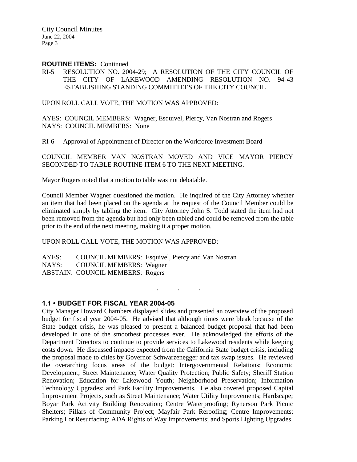#### **ROUTINE ITEMS:** Continued

RI-5 RESOLUTION NO. 2004-29; A RESOLUTION OF THE CITY COUNCIL OF THE CITY OF LAKEWOOD AMENDING RESOLUTION NO. 94-43 ESTABLISHING STANDING COMMITTEES OF THE CITY COUNCIL

UPON ROLL CALL VOTE, THE MOTION WAS APPROVED:

AYES: COUNCIL MEMBERS: Wagner, Esquivel, Piercy, Van Nostran and Rogers NAYS: COUNCIL MEMBERS: None

RI-6 Approval of Appointment of Director on the Workforce Investment Board

COUNCIL MEMBER VAN NOSTRAN MOVED AND VICE MAYOR PIERCY SECONDED TO TABLE ROUTINE ITEM 6 TO THE NEXT MEETING.

Mayor Rogers noted that a motion to table was not debatable.

Council Member Wagner questioned the motion. He inquired of the City Attorney whether an item that had been placed on the agenda at the request of the Council Member could be eliminated simply by tabling the item. City Attorney John S. Todd stated the item had not been removed from the agenda but had only been tabled and could be removed from the table prior to the end of the next meeting, making it a proper motion.

. . .

#### UPON ROLL CALL VOTE, THE MOTION WAS APPROVED:

AYES: COUNCIL MEMBERS: Esquivel, Piercy and Van Nostran NAYS: COUNCIL MEMBERS: Wagner ABSTAIN: COUNCIL MEMBERS: Rogers

# **1.1 • BUDGET FOR FISCAL YEAR 2004-05**

City Manager Howard Chambers displayed slides and presented an overview of the proposed budget for fiscal year 2004-05. He advised that although times were bleak because of the State budget crisis, he was pleased to present a balanced budget proposal that had been developed in one of the smoothest processes ever. He acknowledged the efforts of the Department Directors to continue to provide services to Lakewood residents while keeping costs down. He discussed impacts expected from the California State budget crisis, including the proposal made to cities by Governor Schwarzenegger and tax swap issues. He reviewed the overarching focus areas of the budget: Intergovernmental Relations; Economic Development; Street Maintenance; Water Quality Protection; Public Safety; Sheriff Station Renovation; Education for Lakewood Youth; Neighborhood Preservation; Information Technology Upgrades; and Park Facility Improvements. He also covered proposed Capital Improvement Projects, such as Street Maintenance; Water Utility Improvements; Hardscape; Boyar Park Activity Building Renovation; Centre Waterproofing; Rynerson Park Picnic Shelters; Pillars of Community Project; Mayfair Park Reroofing; Centre Improvements; Parking Lot Resurfacing; ADA Rights of Way Improvements; and Sports Lighting Upgrades.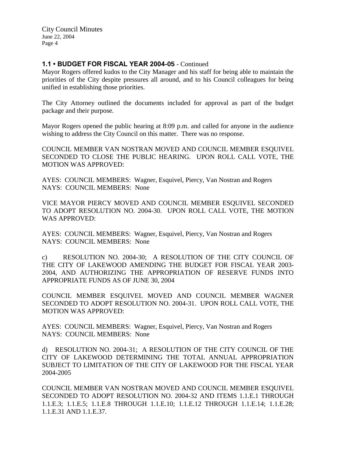# **1.1 • BUDGET FOR FISCAL YEAR 2004-05** - Continued

Mayor Rogers offered kudos to the City Manager and his staff for being able to maintain the priorities of the City despite pressures all around, and to his Council colleagues for being unified in establishing those priorities.

The City Attorney outlined the documents included for approval as part of the budget package and their purpose.

Mayor Rogers opened the public hearing at 8:09 p.m. and called for anyone in the audience wishing to address the City Council on this matter. There was no response.

COUNCIL MEMBER VAN NOSTRAN MOVED AND COUNCIL MEMBER ESQUIVEL SECONDED TO CLOSE THE PUBLIC HEARING. UPON ROLL CALL VOTE, THE MOTION WAS APPROVED:

AYES: COUNCIL MEMBERS: Wagner, Esquivel, Piercy, Van Nostran and Rogers NAYS: COUNCIL MEMBERS: None

VICE MAYOR PIERCY MOVED AND COUNCIL MEMBER ESQUIVEL SECONDED TO ADOPT RESOLUTION NO. 2004-30. UPON ROLL CALL VOTE, THE MOTION WAS APPROVED:

AYES: COUNCIL MEMBERS: Wagner, Esquivel, Piercy, Van Nostran and Rogers NAYS: COUNCIL MEMBERS: None

c) RESOLUTION NO. 2004-30; A RESOLUTION OF THE CITY COUNCIL OF THE CITY OF LAKEWOOD AMENDING THE BUDGET FOR FISCAL YEAR 2003- 2004, AND AUTHORIZING THE APPROPRIATION OF RESERVE FUNDS INTO APPROPRIATE FUNDS AS OF JUNE 30, 2004

COUNCIL MEMBER ESQUIVEL MOVED AND COUNCIL MEMBER WAGNER SECONDED TO ADOPT RESOLUTION NO. 2004-31. UPON ROLL CALL VOTE, THE MOTION WAS APPROVED:

AYES: COUNCIL MEMBERS: Wagner, Esquivel, Piercy, Van Nostran and Rogers NAYS: COUNCIL MEMBERS: None

d) RESOLUTION NO. 2004-31; A RESOLUTION OF THE CITY COUNCIL OF THE CITY OF LAKEWOOD DETERMINING THE TOTAL ANNUAL APPROPRIATION SUBJECT TO LIMITATION OF THE CITY OF LAKEWOOD FOR THE FISCAL YEAR 2004-2005

COUNCIL MEMBER VAN NOSTRAN MOVED AND COUNCIL MEMBER ESQUIVEL SECONDED TO ADOPT RESOLUTION NO. 2004-32 AND ITEMS 1.1.E.1 THROUGH 1.1.E.3; 1.1.E.5; 1.1.E.8 THROUGH 1.1.E.10; 1.1.E.12 THROUGH 1.1.E.14; 1.1.E.28; 1.1.E.31 AND 1.1.E.37.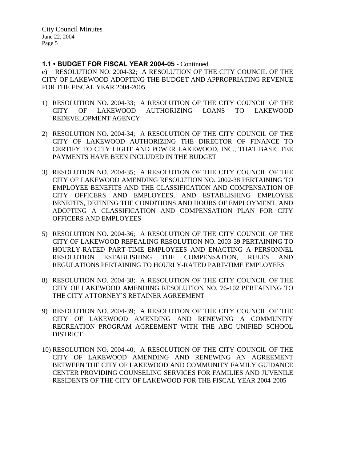#### **1.1 • BUDGET FOR FISCAL YEAR 2004-05** - Continued

e) RESOLUTION NO. 2004-32; A RESOLUTION OF THE CITY COUNCIL OF THE CITY OF LAKEWOOD ADOPTING THE BUDGET AND APPROPRIATING REVENUE FOR THE FISCAL YEAR 2004-2005

- 1) RESOLUTION NO. 2004-33; A RESOLUTION OF THE CITY COUNCIL OF THE CITY OF LAKEWOOD AUTHORIZING LOANS TO LAKEWOOD REDEVELOPMENT AGENCY
- 2) RESOLUTION NO. 2004-34; A RESOLUTION OF THE CITY COUNCIL OF THE CITY OF LAKEWOOD AUTHORIZING THE DIRECTOR OF FINANCE TO CERTIFY TO CITY LIGHT AND POWER LAKEWOOD, INC., THAT BASIC FEE PAYMENTS HAVE BEEN INCLUDED IN THE BUDGET
- 3) RESOLUTION NO. 2004-35; A RESOLUTION OF THE CITY COUNCIL OF THE CITY OF LAKEWOOD AMENDING RESOLUTION NO. 2002-38 PERTAINING TO EMPLOYEE BENEFITS AND THE CLASSIFICATION AND COMPENSATION OF CITY OFFICERS AND EMPLOYEES, AND ESTABLISHING EMPLOYEE BENEFITS, DEFINING THE CONDITIONS AND HOURS OF EMPLOYMENT, AND ADOPTING A CLASSIFICATION AND COMPENSATION PLAN FOR CITY OFFICERS AND EMPLOYEES
- 5) RESOLUTION NO. 2004-36; A RESOLUTION OF THE CITY COUNCIL OF THE CITY OF LAKEWOOD REPEALING RESOLUTION NO. 2003-39 PERTAINING TO HOURLY-RATED PART-TIME EMPLOYEES AND ENACTING A PERSONNEL RESOLUTION ESTABLISHING THE COMPENSATION, RULES AND REGULATIONS PERTAINING TO HOURLY-RATED PART-TIME EMPLOYEES
- 8) RESOLUTION NO. 2004-38; A RESOLUTION OF THE CITY COUNCIL OF THE CITY OF LAKEWOOD AMENDING RESOLUTION NO. 76-102 PERTAINING TO THE CITY ATTORNEY'S RETAINER AGREEMENT
- 9) RESOLUTION NO. 2004-39; A RESOLUTION OF THE CITY COUNCIL OF THE CITY OF LAKEWOOD AMENDING AND RENEWING A COMMUNITY RECREATION PROGRAM AGREEMENT WITH THE ABC UNIFIED SCHOOL **DISTRICT**
- 10) RESOLUTION NO. 2004-40; A RESOLUTION OF THE CITY COUNCIL OF THE CITY OF LAKEWOOD AMENDING AND RENEWING AN AGREEMENT BETWEEN THE CITY OF LAKEWOOD AND COMMUNITY FAMILY GUIDANCE CENTER PROVIDING COUNSELING SERVICES FOR FAMILIES AND JUVENILE RESIDENTS OF THE CITY OF LAKEWOOD FOR THE FISCAL YEAR 2004-2005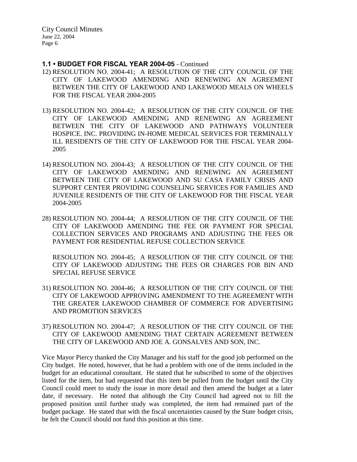#### **1.1 • BUDGET FOR FISCAL YEAR 2004-05** - Continued

- 12) RESOLUTION NO. 2004-41; A RESOLUTION OF THE CITY COUNCIL OF THE CITY OF LAKEWOOD AMENDING AND RENEWING AN AGREEMENT BETWEEN THE CITY OF LAKEWOOD AND LAKEWOOD MEALS ON WHEELS FOR THE FISCAL YEAR 2004-2005
- 13) RESOLUTION NO. 2004-42; A RESOLUTION OF THE CITY COUNCIL OF THE CITY OF LAKEWOOD AMENDING AND RENEWING AN AGREEMENT BETWEEN THE CITY OF LAKEWOOD AND PATHWAYS VOLUNTEER HOSPICE. INC. PROVIDING IN-HOME MEDICAL SERVICES FOR TERMINALLY ILL RESIDENTS OF THE CITY OF LAKEWOOD FOR THE FISCAL YEAR 2004- 2005
- 14) RESOLUTION NO. 2004-43; A RESOLUTION OF THE CITY COUNCIL OF THE CITY OF LAKEWOOD AMENDING AND RENEWING AN AGREEMENT BETWEEN THE CITY OF LAKEWOOD AND SU CASA FAMILY CRISIS AND SUPPORT CENTER PROVIDING COUNSELING SERVICES FOR FAMILIES AND JUVENILE RESIDENTS OF THE CITY OF LAKEWOOD FOR THE FISCAL YEAR 2004-2005
- 28) RESOLUTION NO. 2004-44; A RESOLUTION OF THE CITY COUNCIL OF THE CITY OF LAKEWOOD AMENDING THE FEE OR PAYMENT FOR SPECIAL COLLECTION SERVICES AND PROGRAMS AND ADJUSTING THE FEES OR PAYMENT FOR RESIDENTIAL REFUSE COLLECTION SERVICE

RESOLUTION NO. 2004-45; A RESOLUTION OF THE CITY COUNCIL OF THE CITY OF LAKEWOOD ADJUSTING THE FEES OR CHARGES FOR BIN AND SPECIAL REFUSE SERVICE

- 31) RESOLUTION NO. 2004-46; A RESOLUTION OF THE CITY COUNCIL OF THE CITY OF LAKEWOOD APPROVING AMENDMENT TO THE AGREEMENT WITH THE GREATER LAKEWOOD CHAMBER OF COMMERCE FOR ADVERTISING AND PROMOTION SERVICES
- 37) RESOLUTION NO. 2004-47; A RESOLUTION OF THE CITY COUNCIL OF THE CITY OF LAKEWOOD AMENDING THAT CERTAIN AGREEMENT BETWEEN THE CITY OF LAKEWOOD AND JOE A. GONSALVES AND SON, INC.

Vice Mayor Piercy thanked the City Manager and his staff for the good job performed on the City budget. He noted, however, that he had a problem with one of the items included in the budget for an educational consultant. He stated that he subscribed to some of the objectives listed for the item, but had requested that this item be pulled from the budget until the City Council could meet to study the issue in more detail and then amend the budget at a later date, if necessary. He noted that although the City Council had agreed not to fill the proposed position until further study was completed, the item had remained part of the budget package. He stated that with the fiscal uncertainties caused by the State budget crisis, he felt the Council should not fund this position at this time.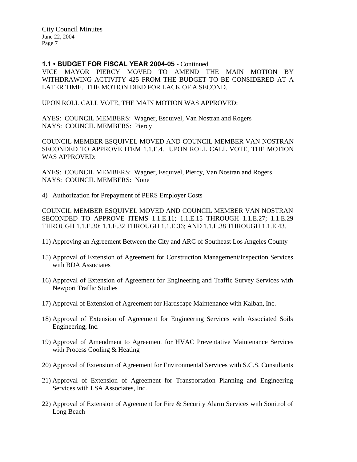### **1.1 • BUDGET FOR FISCAL YEAR 2004-05** - Continued

VICE MAYOR PIERCY MOVED TO AMEND THE MAIN MOTION BY WITHDRAWING ACTIVITY 425 FROM THE BUDGET TO BE CONSIDERED AT A LATER TIME. THE MOTION DIED FOR LACK OF A SECOND.

UPON ROLL CALL VOTE, THE MAIN MOTION WAS APPROVED:

AYES: COUNCIL MEMBERS: Wagner, Esquivel, Van Nostran and Rogers NAYS: COUNCIL MEMBERS: Piercy

COUNCIL MEMBER ESQUIVEL MOVED AND COUNCIL MEMBER VAN NOSTRAN SECONDED TO APPROVE ITEM 1.1.E.4. UPON ROLL CALL VOTE, THE MOTION WAS APPROVED:

AYES: COUNCIL MEMBERS: Wagner, Esquivel, Piercy, Van Nostran and Rogers NAYS: COUNCIL MEMBERS: None

4) Authorization for Prepayment of PERS Employer Costs

COUNCIL MEMBER ESQUIVEL MOVED AND COUNCIL MEMBER VAN NOSTRAN SECONDED TO APPROVE ITEMS 1.1.E.11; 1.1.E.15 THROUGH 1.1.E.27; 1.1.E.29 THROUGH 1.1.E.30; 1.1.E.32 THROUGH 1.1.E.36; AND 1.1.E.38 THROUGH 1.1.E.43.

- 11) Approving an Agreement Between the City and ARC of Southeast Los Angeles County
- 15) Approval of Extension of Agreement for Construction Management/Inspection Services with BDA Associates
- 16) Approval of Extension of Agreement for Engineering and Traffic Survey Services with Newport Traffic Studies
- 17) Approval of Extension of Agreement for Hardscape Maintenance with Kalban, Inc.
- 18) Approval of Extension of Agreement for Engineering Services with Associated Soils Engineering, Inc.
- 19) Approval of Amendment to Agreement for HVAC Preventative Maintenance Services with Process Cooling & Heating
- 20) Approval of Extension of Agreement for Environmental Services with S.C.S. Consultants
- 21) Approval of Extension of Agreement for Transportation Planning and Engineering Services with LSA Associates, Inc.
- 22) Approval of Extension of Agreement for Fire & Security Alarm Services with Sonitrol of Long Beach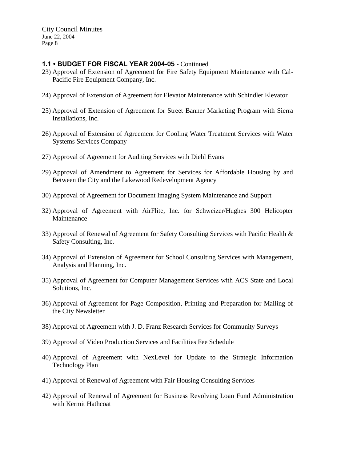### **1.1 • BUDGET FOR FISCAL YEAR 2004-05** - Continued

- 23) Approval of Extension of Agreement for Fire Safety Equipment Maintenance with Cal-Pacific Fire Equipment Company, Inc.
- 24) Approval of Extension of Agreement for Elevator Maintenance with Schindler Elevator
- 25) Approval of Extension of Agreement for Street Banner Marketing Program with Sierra Installations, Inc.
- 26) Approval of Extension of Agreement for Cooling Water Treatment Services with Water Systems Services Company
- 27) Approval of Agreement for Auditing Services with Diehl Evans
- 29) Approval of Amendment to Agreement for Services for Affordable Housing by and Between the City and the Lakewood Redevelopment Agency
- 30) Approval of Agreement for Document Imaging System Maintenance and Support
- 32) Approval of Agreement with AirFlite, Inc. for Schweizer/Hughes 300 Helicopter Maintenance
- 33) Approval of Renewal of Agreement for Safety Consulting Services with Pacific Health & Safety Consulting, Inc.
- 34) Approval of Extension of Agreement for School Consulting Services with Management, Analysis and Planning, Inc.
- 35) Approval of Agreement for Computer Management Services with ACS State and Local Solutions, Inc.
- 36) Approval of Agreement for Page Composition, Printing and Preparation for Mailing of the City Newsletter
- 38) Approval of Agreement with J. D. Franz Research Services for Community Surveys
- 39) Approval of Video Production Services and Facilities Fee Schedule
- 40) Approval of Agreement with NexLevel for Update to the Strategic Information Technology Plan
- 41) Approval of Renewal of Agreement with Fair Housing Consulting Services
- 42) Approval of Renewal of Agreement for Business Revolving Loan Fund Administration with Kermit Hathcoat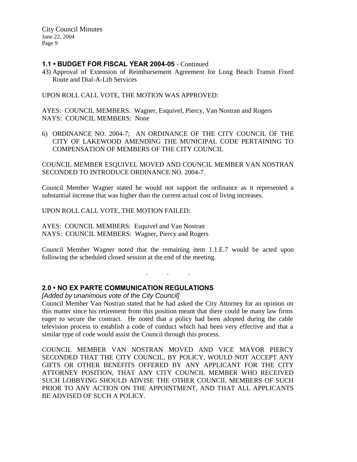### **1.1 • BUDGET FOR FISCAL YEAR 2004-05** - Continued

43) Approval of Extension of Reimbursement Agreement for Long Beach Transit Fixed Route and Dial-A-Lift Services

UPON ROLL CALL VOTE, THE MOTION WAS APPROVED:

AYES: COUNCIL MEMBERS: Wagner, Esquivel, Piercy, Van Nostran and Rogers NAYS: COUNCIL MEMBERS: None

6) ORDINANCE NO. 2004-7; AN ORDINANCE OF THE CITY COUNCIL OF THE CITY OF LAKEWOOD AMENDING THE MUNICIPAL CODE PERTAINING TO COMPENSATION OF MEMBERS OF THE CITY COUNCIL

COUNCIL MEMBER ESQUIVEL MOVED AND COUNCIL MEMBER VAN NOSTRAN SECONDED TO INTRODUCE ORDINANCE NO. 2004-7.

Council Member Wagner stated he would not support the ordinance as it represented a substantial increase that was higher than the current actual cost of living increases.

UPON ROLL CALL VOTE, THE MOTION FAILED:

AYES: COUNCIL MEMBERS: Esquivel and Van Nostran NAYS: COUNCIL MEMBERS: Wagner, Piercy and Rogers

Council Member Wagner noted that the remaining item 1.1.E.7 would be acted upon following the scheduled closed session at the end of the meeting.

. . .

# **2.0 • NO EX PARTE COMMUNICATION REGULATIONS**

*[Added by unanimous vote of the City Council]*

Council Member Van Nostran stated that he had asked the City Attorney for an opinion on this matter since his retirement from this position meant that there could be many law firms eager to secure the contract. He noted that a policy had been adopted during the cable television process to establish a code of conduct which had been very effective and that a similar type of code would assist the Council through this process.

COUNCIL MEMBER VAN NOSTRAN MOVED AND VICE MAYOR PIERCY SECONDED THAT THE CITY COUNCIL, BY POLICY, WOULD NOT ACCEPT ANY GIFTS OR OTHER BENEFITS OFFERED BY ANY APPLICANT FOR THE CITY ATTORNEY POSITION, THAT ANY CITY COUNCIL MEMBER WHO RECEIVED SUCH LOBBYING SHOULD ADVISE THE OTHER COUNCIL MEMBERS OF SUCH PRIOR TO ANY ACTION ON THE APPOINTMENT, AND THAT ALL APPLICANTS BE ADVISED OF SUCH A POLICY.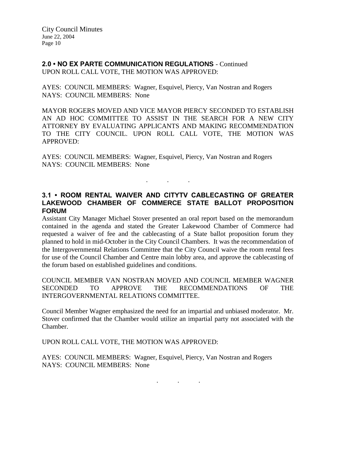**2.0 • NO EX PARTE COMMUNICATION REGULATIONS** - Continued UPON ROLL CALL VOTE, THE MOTION WAS APPROVED:

AYES: COUNCIL MEMBERS: Wagner, Esquivel, Piercy, Van Nostran and Rogers NAYS: COUNCIL MEMBERS: None

MAYOR ROGERS MOVED AND VICE MAYOR PIERCY SECONDED TO ESTABLISH AN AD HOC COMMITTEE TO ASSIST IN THE SEARCH FOR A NEW CITY ATTORNEY BY EVALUATING APPLICANTS AND MAKING RECOMMENDATION TO THE CITY COUNCIL. UPON ROLL CALL VOTE, THE MOTION WAS APPROVED:

AYES: COUNCIL MEMBERS: Wagner, Esquivel, Piercy, Van Nostran and Rogers NAYS: COUNCIL MEMBERS: None

**3.1 • ROOM RENTAL WAIVER AND CITYTV CABLECASTING OF GREATER LAKEWOOD CHAMBER OF COMMERCE STATE BALLOT PROPOSITION FORUM**

. . .

Assistant City Manager Michael Stover presented an oral report based on the memorandum contained in the agenda and stated the Greater Lakewood Chamber of Commerce had requested a waiver of fee and the cablecasting of a State ballot proposition forum they planned to hold in mid-October in the City Council Chambers. It was the recommendation of the Intergovernmental Relations Committee that the City Council waive the room rental fees for use of the Council Chamber and Centre main lobby area, and approve the cablecasting of the forum based on established guidelines and conditions.

COUNCIL MEMBER VAN NOSTRAN MOVED AND COUNCIL MEMBER WAGNER SECONDED TO APPROVE THE RECOMMENDATIONS OF THE INTERGOVERNMENTAL RELATIONS COMMITTEE.

Council Member Wagner emphasized the need for an impartial and unbiased moderator. Mr. Stover confirmed that the Chamber would utilize an impartial party not associated with the Chamber.

UPON ROLL CALL VOTE, THE MOTION WAS APPROVED:

AYES: COUNCIL MEMBERS: Wagner, Esquivel, Piercy, Van Nostran and Rogers NAYS: COUNCIL MEMBERS: None

. . .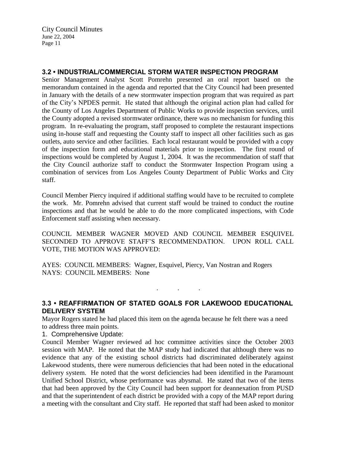# **3.2 • INDUSTRIAL/COMMERCIAL STORM WATER INSPECTION PROGRAM**

Senior Management Analyst Scott Pomrehn presented an oral report based on the memorandum contained in the agenda and reported that the City Council had been presented in January with the details of a new stormwater inspection program that was required as part of the City's NPDES permit. He stated that although the original action plan had called for the County of Los Angeles Department of Public Works to provide inspection services, until the County adopted a revised stormwater ordinance, there was no mechanism for funding this program. In re-evaluating the program, staff proposed to complete the restaurant inspections using in-house staff and requesting the County staff to inspect all other facilities such as gas outlets, auto service and other facilities. Each local restaurant would be provided with a copy of the inspection form and educational materials prior to inspection. The first round of inspections would be completed by August 1, 2004. It was the recommendation of staff that the City Council authorize staff to conduct the Stormwater Inspection Program using a combination of services from Los Angeles County Department of Public Works and City staff.

Council Member Piercy inquired if additional staffing would have to be recruited to complete the work. Mr. Pomrehn advised that current staff would be trained to conduct the routine inspections and that he would be able to do the more complicated inspections, with Code Enforcement staff assisting when necessary.

COUNCIL MEMBER WAGNER MOVED AND COUNCIL MEMBER ESQUIVEL SECONDED TO APPROVE STAFF'S RECOMMENDATION. UPON ROLL CALL VOTE, THE MOTION WAS APPROVED:

AYES: COUNCIL MEMBERS: Wagner, Esquivel, Piercy, Van Nostran and Rogers NAYS: COUNCIL MEMBERS: None

**3.3 • REAFFIRMATION OF STATED GOALS FOR LAKEWOOD EDUCATIONAL DELIVERY SYSTEM**

. . .

Mayor Rogers stated he had placed this item on the agenda because he felt there was a need to address three main points.

1. Comprehensive Update:

Council Member Wagner reviewed ad hoc committee activities since the October 2003 session with MAP. He noted that the MAP study had indicated that although there was no evidence that any of the existing school districts had discriminated deliberately against Lakewood students, there were numerous deficiencies that had been noted in the educational delivery system. He noted that the worst deficiencies had been identified in the Paramount Unified School District, whose performance was abysmal. He stated that two of the items that had been approved by the City Council had been support for deannexation from PUSD and that the superintendent of each district be provided with a copy of the MAP report during a meeting with the consultant and City staff. He reported that staff had been asked to monitor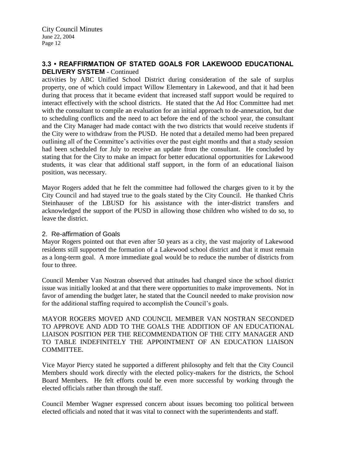# **3.3 • REAFFIRMATION OF STATED GOALS FOR LAKEWOOD EDUCATIONAL DELIVERY SYSTEM** - Continued

activities by ABC Unified School District during consideration of the sale of surplus property, one of which could impact Willow Elementary in Lakewood, and that it had been during that process that it became evident that increased staff support would be required to interact effectively with the school districts. He stated that the Ad Hoc Committee had met with the consultant to compile an evaluation for an initial approach to de-annexation, but due to scheduling conflicts and the need to act before the end of the school year, the consultant and the City Manager had made contact with the two districts that would receive students if the City were to withdraw from the PUSD. He noted that a detailed memo had been prepared outlining all of the Committee's activities over the past eight months and that a study session had been scheduled for July to receive an update from the consultant. He concluded by stating that for the City to make an impact for better educational opportunities for Lakewood students, it was clear that additional staff support, in the form of an educational liaison position, was necessary.

Mayor Rogers added that he felt the committee had followed the charges given to it by the City Council and had stayed true to the goals stated by the City Council. He thanked Chris Steinhauser of the LBUSD for his assistance with the inter-district transfers and acknowledged the support of the PUSD in allowing those children who wished to do so, to leave the district.

### 2. Re-affirmation of Goals

Mayor Rogers pointed out that even after 50 years as a city, the vast majority of Lakewood residents still supported the formation of a Lakewood school district and that it must remain as a long-term goal. A more immediate goal would be to reduce the number of districts from four to three.

Council Member Van Nostran observed that attitudes had changed since the school district issue was initially looked at and that there were opportunities to make improvements. Not in favor of amending the budget later, he stated that the Council needed to make provision now for the additional staffing required to accomplish the Council's goals.

MAYOR ROGERS MOVED AND COUNCIL MEMBER VAN NOSTRAN SECONDED TO APPROVE AND ADD TO THE GOALS THE ADDITION OF AN EDUCATIONAL LIAISON POSITION PER THE RECOMMENDATION OF THE CITY MANAGER AND TO TABLE INDEFINITELY THE APPOINTMENT OF AN EDUCATION LIAISON COMMITTEE.

Vice Mayor Piercy stated he supported a different philosophy and felt that the City Council Members should work directly with the elected policy-makers for the districts, the School Board Members. He felt efforts could be even more successful by working through the elected officials rather than through the staff.

Council Member Wagner expressed concern about issues becoming too political between elected officials and noted that it was vital to connect with the superintendents and staff.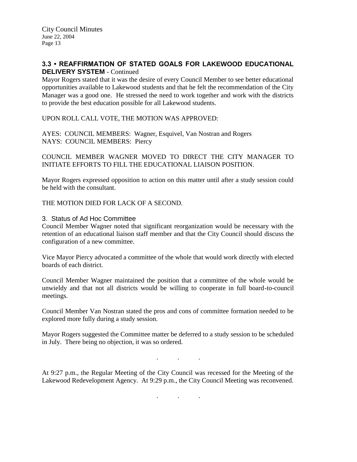# **3.3 • REAFFIRMATION OF STATED GOALS FOR LAKEWOOD EDUCATIONAL DELIVERY SYSTEM** - Continued

Mayor Rogers stated that it was the desire of every Council Member to see better educational opportunities available to Lakewood students and that he felt the recommendation of the City Manager was a good one. He stressed the need to work together and work with the districts to provide the best education possible for all Lakewood students.

UPON ROLL CALL VOTE, THE MOTION WAS APPROVED:

AYES: COUNCIL MEMBERS: Wagner, Esquivel, Van Nostran and Rogers NAYS: COUNCIL MEMBERS: Piercy

COUNCIL MEMBER WAGNER MOVED TO DIRECT THE CITY MANAGER TO INITIATE EFFORTS TO FILL THE EDUCATIONAL LIAISON POSITION.

Mayor Rogers expressed opposition to action on this matter until after a study session could be held with the consultant.

THE MOTION DIED FOR LACK OF A SECOND.

### 3. Status of Ad Hoc Committee

Council Member Wagner noted that significant reorganization would be necessary with the retention of an educational liaison staff member and that the City Council should discuss the configuration of a new committee.

Vice Mayor Piercy advocated a committee of the whole that would work directly with elected boards of each district.

Council Member Wagner maintained the position that a committee of the whole would be unwieldy and that not all districts would be willing to cooperate in full board-to-council meetings.

Council Member Van Nostran stated the pros and cons of committee formation needed to be explored more fully during a study session.

Mayor Rogers suggested the Committee matter be deferred to a study session to be scheduled in July. There being no objection, it was so ordered.

At 9:27 p.m., the Regular Meeting of the City Council was recessed for the Meeting of the Lakewood Redevelopment Agency. At 9:29 p.m., the City Council Meeting was reconvened.

. . .

. . .